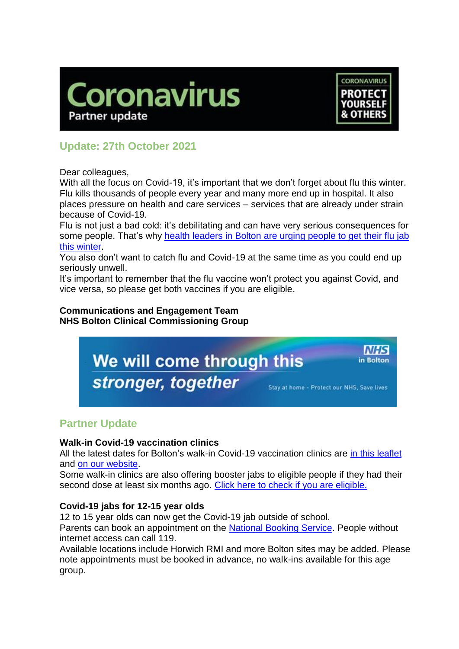



in Bolton

# **Update: 27th October 2021**

Dear colleagues,

With all the focus on Covid-19, it's important that we don't forget about flu this winter. Flu kills thousands of people every year and many more end up in hospital. It also places pressure on health and care services – services that are already under strain because of Covid-19.

Flu is not just a bad cold: it's debilitating and can have very serious consequences for some people. That's why [health leaders in Bolton are urging people to get their flu jab](https://www.boltonccg.nhs.uk/news-events/news/don-t-let-flu-get-you-get-vaccinated) [this winter.](https://www.boltonccg.nhs.uk/news-events/news/don-t-let-flu-get-you-get-vaccinated)

You also don't want to catch flu and Covid-19 at the same time as you could end up seriously unwell.

It's important to remember that the flu vaccine won't protect you against Covid, and vice versa, so please get both vaccines if you are eligible.

#### **Communications and Engagement Team NHS Bolton Clinical Commissioning Group**

We will come through this stronger, together Stay at home - Protect our NHS, Save lives

## **Partner Update**

## **Walk-in Covid-19 vaccination clinics**

All the latest dates for Bolton's walk-in Covid-19 vaccination clinics are [in this leaflet](https://www.boltonccg.nhs.uk/media/7425/vaccine-site-list_fri22oct_to_sun31oct.pdf) and [on our website.](https://www.boltonccg.nhs.uk/patient-zone/coronavirus)

Some walk-in clinics are also offering booster jabs to eligible people if they had their second dose at least six months ago. [Click here to check if you are eligible.](https://bit.ly/boosterjab)

## **Covid-19 jabs for 12-15 year olds**

12 to 15 year olds can now get the Covid-19 jab outside of school.

Parents can book an appointment on the [National Booking Service.](https://www.nhs.uk/conditions/coronavirus-covid-19/coronavirus-vaccination/book-coronavirus-vaccination/book-or-manage-a-1st-or-2nd-dose-of-the-coronavirus-covid-19-vaccination/) People without internet access can call 119.

Available locations include Horwich RMI and more Bolton sites may be added. Please note appointments must be booked in advance, no walk-ins available for this age group.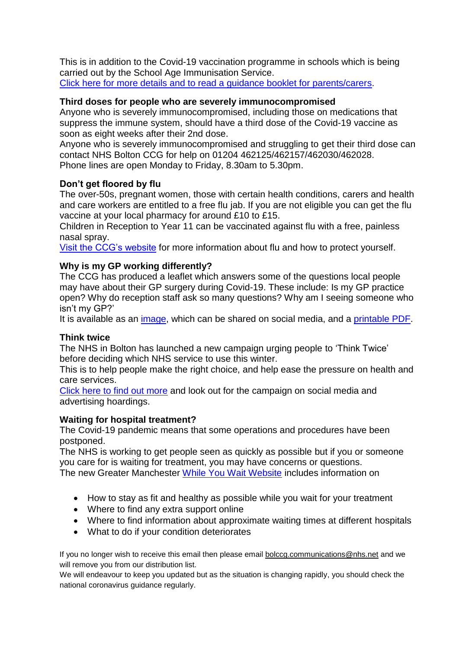This is in addition to the Covid-19 vaccination programme in schools which is being carried out by the School Age Immunisation Service. [Click here for more details and to read a guidance booklet for parents/carers.](https://www.boltonft.nhs.uk/services/coronavirus-covid-19/covid-19-vaccination-programme-for-young-people/)

## **Third doses for people who are severely immunocompromised**

Anyone who is severely immunocompromised, including those on medications that suppress the immune system, should have a third dose of the Covid-19 vaccine as soon as eight weeks after their 2nd dose.

Anyone who is severely immunocompromised and struggling to get their third dose can contact NHS Bolton CCG for help on 01204 462125/462157/462030/462028. Phone lines are open Monday to Friday, 8.30am to 5.30pm.

## **Don't get floored by flu**

The over-50s, pregnant women, those with certain health conditions, carers and health and care workers are entitled to a free flu jab. If you are not eligible you can get the flu vaccine at your local pharmacy for around £10 to £15.

Children in Reception to Year 11 can be vaccinated against flu with a free, painless nasal spray.

[Visit the CCG's website](https://www.boltonccg.nhs.uk/patient-zone/flu-facts-and-how-to-protect-yourself) for more information about flu and how to protect yourself.

#### **Why is my GP working differently?**

The CCG has produced a leaflet which answers some of the questions local people may have about their GP surgery during Covid-19. These include: Is my GP practice open? Why do reception staff ask so many questions? Why am I seeing someone who isn't my GP?'

It is available as an [image,](https://www.boltonccg.nhs.uk/media/7427/gp_poster.jpg) which can be shared on social media, and a [printable](https://www.boltonccg.nhs.uk/media/7426/nhs-bolton_gp-a4.pdf) PDF.

#### **Think twice**

The NHS in Bolton has launched a new campaign urging people to 'Think Twice' before deciding which NHS service to use this winter.

This is to help people make the right choice, and help ease the pressure on health and care services.

[Click here to find out more](https://www.boltonccg.nhs.uk/media/7436/nhs_bolton_ce-winter-2021-briefing_fin.pdf) and look out for the campaign on social media and advertising hoardings.

#### **Waiting for hospital treatment?**

The Covid-19 pandemic means that some operations and procedures have been postponed.

The NHS is working to get people seen as quickly as possible but if you or someone you care for is waiting for treatment, you may have concerns or questions. The new Greater Manchester [While You Wait Website](http://whileyouwait.org.uk/) includes information on

- How to stay as fit and healthy as possible while you wait for your treatment
- Where to find any extra support online
- Where to find information about approximate waiting times at different hospitals
- What to do if your condition deteriorates

If you no longer wish to receive this email then please email [bolccg.communications@nhs.net](mailto:bolccg.communications@nhs.net) and we will remove you from our distribution list.

We will endeavour to keep you updated but as the situation is changing rapidly, you should check the national coronavirus guidance regularly.